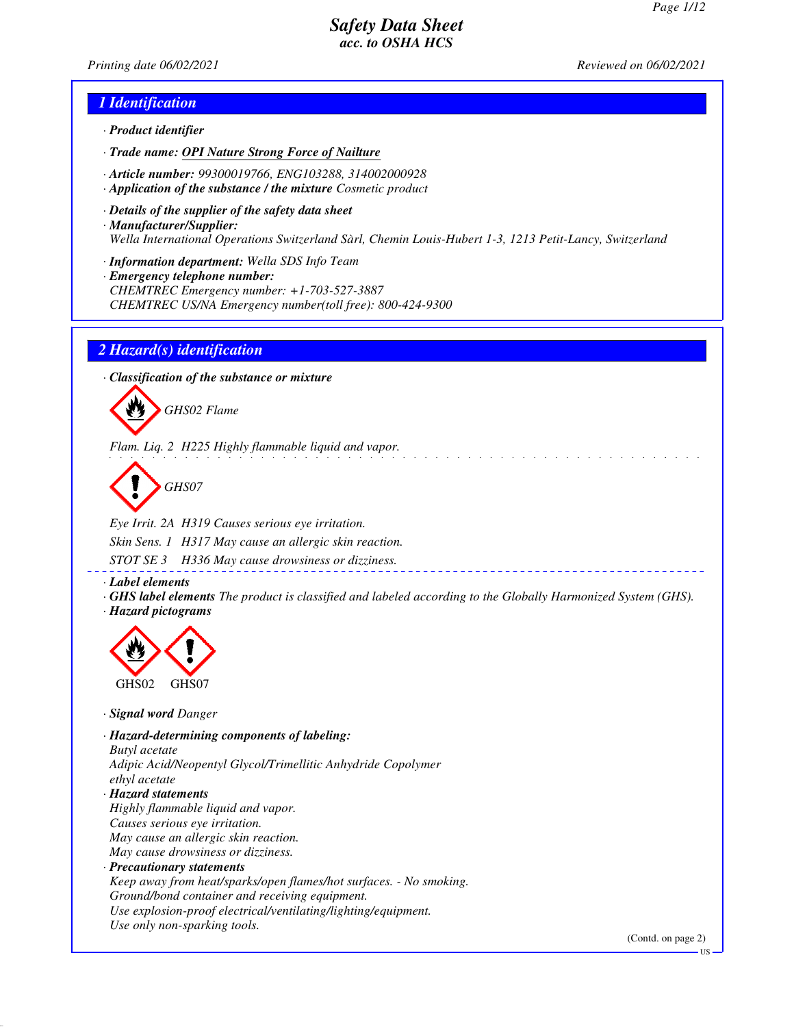*Printing date 06/02/2021 Reviewed on 06/02/2021*

### *1 Identification*

- *· Product identifier*
- *· Trade name: OPI Nature Strong Force of Nailture*
- *· Article number: 99300019766, ENG103288, 314002000928*
- *· Application of the substance / the mixture Cosmetic product*
- *· Details of the supplier of the safety data sheet · Manufacturer/Supplier: Wella International Operations Switzerland Sàrl, Chemin Louis-Hubert 1-3, 1213 Petit-Lancy, Switzerland*
- *· Information department: Wella SDS Info Team*
- *· Emergency telephone number: CHEMTREC Emergency number: +1-703-527-3887 CHEMTREC US/NA Emergency number(toll free): 800-424-9300*

### *2 Hazard(s) identification*

*· Classification of the substance or mixture*



*Flam. Liq. 2 H225 Highly flammable liquid and vapor.*

*GHS07*

*Eye Irrit. 2A H319 Causes serious eye irritation. Skin Sens. 1 H317 May cause an allergic skin reaction.*

*STOT SE 3 H336 May cause drowsiness or dizziness.*

*· Label elements*

*· GHS label elements The product is classified and labeled according to the Globally Harmonized System (GHS). · Hazard pictograms*



*· Signal word Danger*

*· Hazard-determining components of labeling: Butyl acetate Adipic Acid/Neopentyl Glycol/Trimellitic Anhydride Copolymer ethyl acetate · Hazard statements Highly flammable liquid and vapor. Causes serious eye irritation. May cause an allergic skin reaction. May cause drowsiness or dizziness. · Precautionary statements Keep away from heat/sparks/open flames/hot surfaces. - No smoking. Ground/bond container and receiving equipment. Use explosion-proof electrical/ventilating/lighting/equipment. Use only non-sparking tools.*

(Contd. on page 2)

US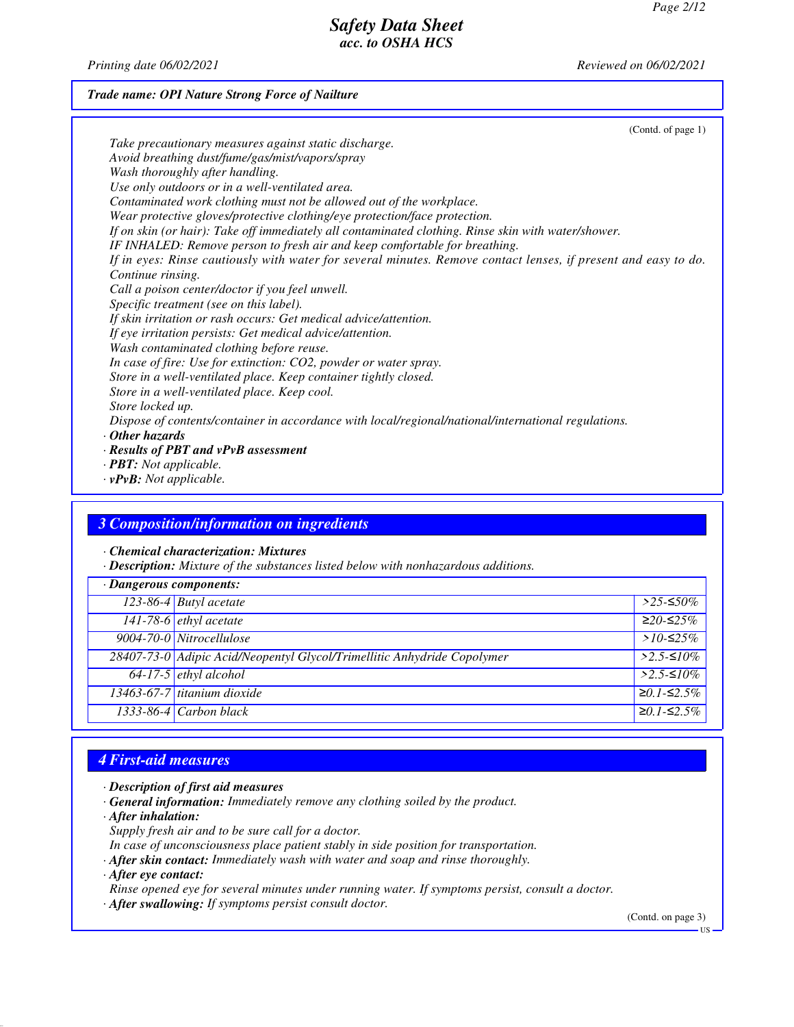*Printing date 06/02/2021 Reviewed on 06/02/2021*

## *Trade name: OPI Nature Strong Force of Nailture*

| (Contd. of page 1)                                                                                             |
|----------------------------------------------------------------------------------------------------------------|
| Take precautionary measures against static discharge.                                                          |
| Avoid breathing dust/fume/gas/mist/vapors/spray                                                                |
| Wash thoroughly after handling.                                                                                |
| Use only outdoors or in a well-ventilated area.                                                                |
| Contaminated work clothing must not be allowed out of the workplace.                                           |
| Wear protective gloves/protective clothing/eye protection/face protection.                                     |
| If on skin (or hair): Take off immediately all contaminated clothing. Rinse skin with water/shower.            |
| IF INHALED: Remove person to fresh air and keep comfortable for breathing.                                     |
| If in eyes: Rinse cautiously with water for several minutes. Remove contact lenses, if present and easy to do. |
| Continue rinsing.                                                                                              |
| Call a poison center/doctor if you feel unwell.                                                                |
| Specific treatment (see on this label).                                                                        |
| If skin irritation or rash occurs: Get medical advice/attention.                                               |
| If eye irritation persists: Get medical advice/attention.                                                      |
| Wash contaminated clothing before reuse.                                                                       |
| In case of fire: Use for extinction: CO2, powder or water spray.                                               |
| Store in a well-ventilated place. Keep container tightly closed.                                               |
| Store in a well-ventilated place. Keep cool.                                                                   |
| Store locked up.                                                                                               |
| Dispose of contents/container in accordance with local/regional/national/international regulations.            |
| $\cdot$ Other hazards                                                                                          |
| $\cdot$ Results of PBT and vPvB assessment                                                                     |
| $\cdot$ <b>PBT:</b> Not applicable.                                                                            |
|                                                                                                                |

*· vPvB: Not applicable.*

## *3 Composition/information on ingredients*

*· Chemical characterization: Mixtures*

*· Description: Mixture of the substances listed below with nonhazardous additions.*

| $\cdot$ Dangerous components: |                                                                         |                  |
|-------------------------------|-------------------------------------------------------------------------|------------------|
|                               | 123-86-4 Butyl acetate                                                  | $>$ 25-≤50%      |
|                               | 141-78-6 ethyl acetate                                                  | $≥20-≤25%$       |
|                               | 9004-70-0 Nitrocellulose                                                | > $10$ -≤25%     |
|                               | 28407-73-0 Adipic Acid/Neopentyl Glycol/Trimellitic Anhydride Copolymer | $>2.5$ -≤10%     |
|                               | 64-17-5 ethyl alcohol                                                   | $>2.5$ -≤10%     |
|                               | 13463-67-7 titanium dioxide                                             | $≥0.1$ - $≤2.5%$ |
|                               | $1333-86-4$ Carbon black                                                | $≥0.1$ - $≤2.5%$ |

## *4 First-aid measures*

- *· Description of first aid measures*
- *· General information: Immediately remove any clothing soiled by the product.*
- *· After inhalation:*
- *Supply fresh air and to be sure call for a doctor.*
- *In case of unconsciousness place patient stably in side position for transportation.*
- *· After skin contact: Immediately wash with water and soap and rinse thoroughly.*

*· After eye contact:*

- *Rinse opened eye for several minutes under running water. If symptoms persist, consult a doctor.*
- *· After swallowing: If symptoms persist consult doctor.*

(Contd. on page 3)

US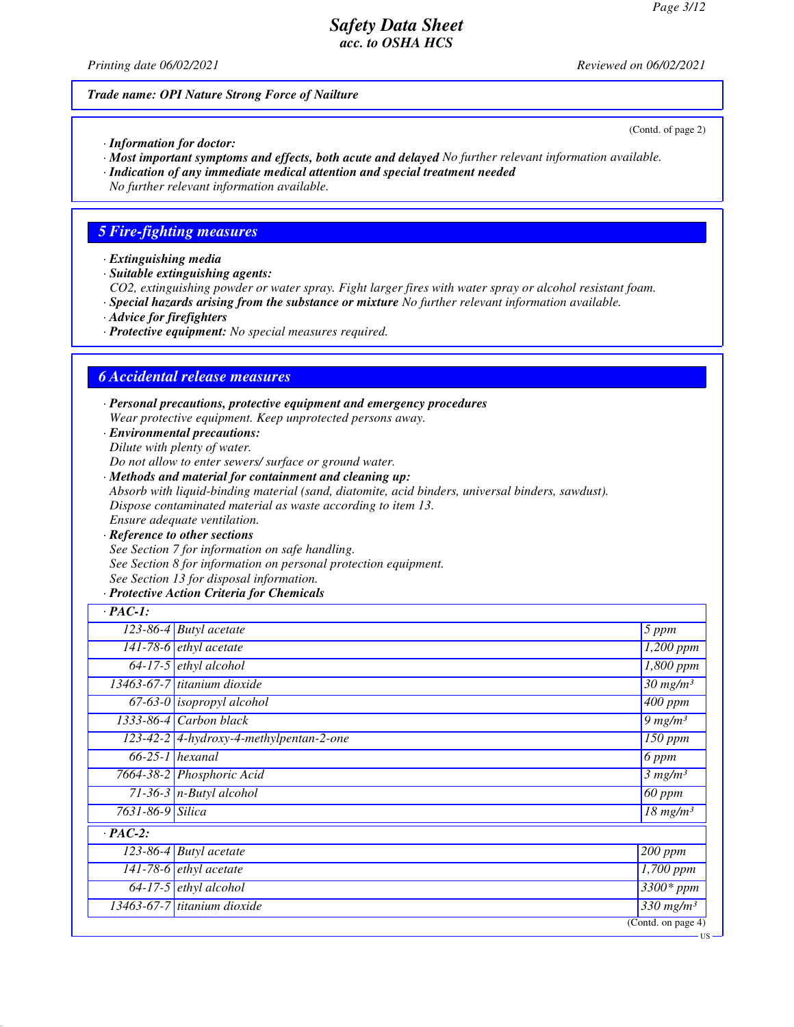*Printing date 06/02/2021 Reviewed on 06/02/2021*

#### *Trade name: OPI Nature Strong Force of Nailture*

(Contd. of page 2)

US

- *· Information for doctor:*
- *· Most important symptoms and effects, both acute and delayed No further relevant information available.*
- *· Indication of any immediate medical attention and special treatment needed*
- *No further relevant information available.*

## *5 Fire-fighting measures*

- *· Extinguishing media*
- *· Suitable extinguishing agents:*
- *CO2, extinguishing powder or water spray. Fight larger fires with water spray or alcohol resistant foam.*
- *· Special hazards arising from the substance or mixture No further relevant information available.*
- *· Advice for firefighters*
- *· Protective equipment: No special measures required.*

## *6 Accidental release measures*

- *· Personal precautions, protective equipment and emergency procedures Wear protective equipment. Keep unprotected persons away.*
- *· Environmental precautions: Dilute with plenty of water.*
- *Do not allow to enter sewers/ surface or ground water.*
- *· Methods and material for containment and cleaning up: Absorb with liquid-binding material (sand, diatomite, acid binders, universal binders, sawdust). Dispose contaminated material as waste according to item 13. Ensure adequate ventilation.*
- *· Reference to other sections See Section 7 for information on safe handling. See Section 8 for information on personal protection equipment. See Section 13 for disposal information.*

#### *· Protective Action Criteria for Chemicals*

| $\cdot$ PAC-1:   |                                         |                                        |
|------------------|-----------------------------------------|----------------------------------------|
|                  | $\overline{123}$ -86-4 Butyl acetate    | 5 ppm                                  |
|                  | 141-78-6 $e^t$ ethyl acetate            | $\overline{1,200}$ ppm                 |
|                  | $64-17-5$ ethyl alcohol                 | 1,800 ppm                              |
|                  | $13463-67-7$ titanium dioxide           | $\overline{30}$ mg/m <sup>3</sup>      |
|                  | $\overline{67-63-0}$ isopropyl alcohol  | $\overline{400}$ ppm                   |
|                  | $1333-86-4$ Carbon black                | $9$ mg/m <sup>3</sup>                  |
|                  | 123-42-2 4-hydroxy-4-methylpentan-2-one | $\overline{150}$ ppm                   |
|                  | $66-25-1$ hexanal                       | 6 ppm                                  |
|                  | 7664-38-2 Phosphoric Acid               | 3 mg/m <sup>3</sup>                    |
|                  | $71-36-3$ n-Butyl alcohol               | $60$ ppm                               |
| 7631-86-9 Silica |                                         | $\overline{18}$ mg/m <sup>3</sup>      |
| $\cdot$ PAC-2:   |                                         |                                        |
|                  | $123-86-4$ Butyl acetate                | $\sqrt{200}$ ppm                       |
|                  | 141-78-6 <i>ethyl</i> acetate           | 1,700 ppm                              |
|                  | $64-17-5$ ethyl alcohol                 | $3300*ppm$                             |
|                  | $13463-67-7$ titanium dioxide           | $330$ mg/m <sup>3</sup>                |
|                  |                                         | $\overline{(\text{Contd. on page 4})}$ |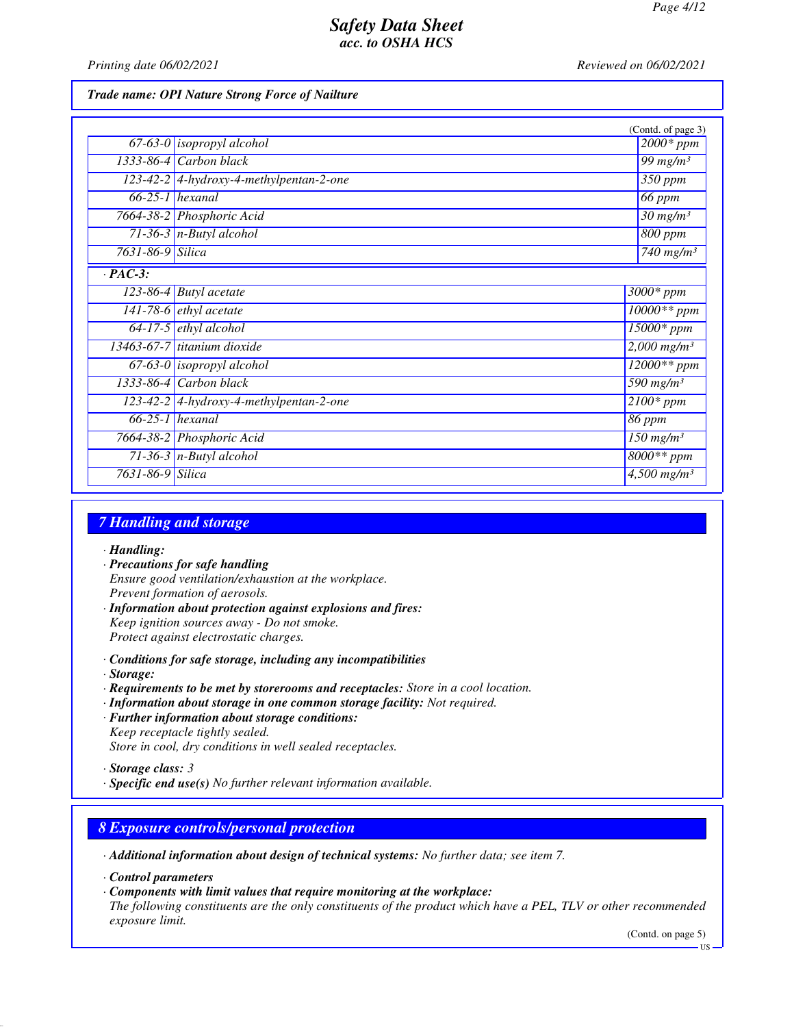*Printing date 06/02/2021 Reviewed on 06/02/2021*

#### *Trade name: OPI Nature Strong Force of Nailture*

|                      |                                           | (Contd. of page 3)                   |
|----------------------|-------------------------------------------|--------------------------------------|
|                      | $67-63-0$ isopropyl alcohol               | $2000*$ ppm                          |
|                      | 1333-86-4 Carbon black                    | 99 $mg/m^3$                          |
|                      | $123-42-2$ 4-hydroxy-4-methylpentan-2-one | $350$ ppm                            |
|                      | $\overline{66-25-1}$ hexanal              | 66 ppm                               |
|                      | 7664-38-2 Phosphoric Acid                 | $\frac{30 \text{ mg}}{m}$            |
|                      | $71-36-3$ n-Butyl alcohol                 | $800$ ppm                            |
| 7631-86-9 Silica     |                                           | $740$ mg/m <sup>3</sup>              |
| $\overline{PAC-3}$ : |                                           |                                      |
|                      | $\overline{123-86-4}$ Butyl acetate       | $3000*$ ppm                          |
|                      | 141-78-6 $ethyl$ acetate                  | $10000**$ ppm                        |
|                      | $64-17-5$ ethyl alcohol                   | $\overline{15000}$ * ppm             |
|                      | $13463-67-7$ titanium dioxide             | $2,000$ mg/m <sup>3</sup>            |
|                      | $67-63-0$ isopropyl alcohol               | $12000**$ ppm                        |
|                      | $1333-86-4$ Carbon black                  | 590 mg/m <sup>3</sup>                |
|                      | $123-42-2$ 4-hydroxy-4-methylpentan-2-one | $2100*$ ppm                          |
|                      | $66-25-1$ hexanal                         | 86 ppm                               |
|                      | 7664-38-2 Phosphoric Acid                 | $\overline{150}$ mg/m <sup>3</sup>   |
|                      | 71-36-3 $n$ -Butyl alcohol                | $8000**$ ppm                         |
| 7631-86-9 Silica     |                                           | $\overline{4,500}$ mg/m <sup>3</sup> |

## *7 Handling and storage*

- *· Handling:*
- *· Precautions for safe handling Ensure good ventilation/exhaustion at the workplace. Prevent formation of aerosols.*
- *· Information about protection against explosions and fires: Keep ignition sources away - Do not smoke. Protect against electrostatic charges.*
- *· Conditions for safe storage, including any incompatibilities*
- *· Storage:*
- *· Requirements to be met by storerooms and receptacles: Store in a cool location.*
- *· Information about storage in one common storage facility: Not required.*
- *· Further information about storage conditions: Keep receptacle tightly sealed. Store in cool, dry conditions in well sealed receptacles.*

*· Specific end use(s) No further relevant information available.*

## *8 Exposure controls/personal protection*

- *· Additional information about design of technical systems: No further data; see item 7.*
- *· Control parameters*
- *· Components with limit values that require monitoring at the workplace:*

*The following constituents are the only constituents of the product which have a PEL, TLV or other recommended exposure limit.*

(Contd. on page 5)

*<sup>·</sup> Storage class: 3* 

US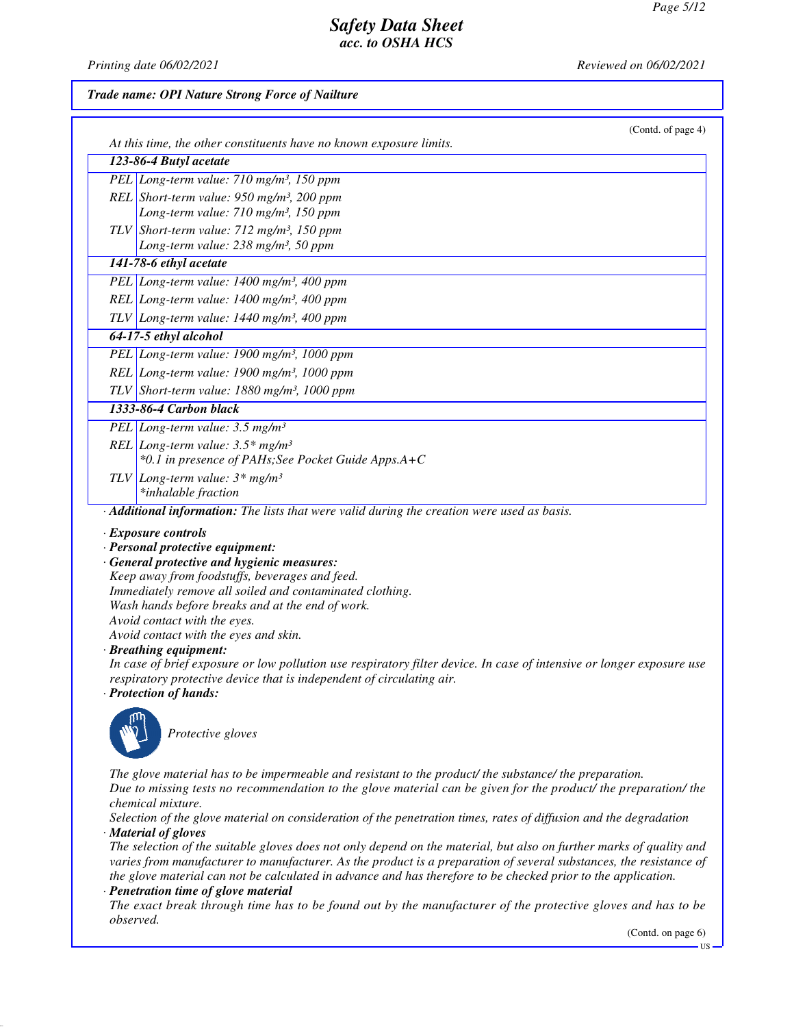*Printing date 06/02/2021 Reviewed on 06/02/2021*

#### *Trade name: OPI Nature Strong Force of Nailture*

| (Contd. of page 4)                                                                                                                                                                             |
|------------------------------------------------------------------------------------------------------------------------------------------------------------------------------------------------|
| At this time, the other constituents have no known exposure limits.<br>123-86-4 Butyl acetate                                                                                                  |
| PEL Long-term value: 710 mg/m <sup>3</sup> , 150 ppm                                                                                                                                           |
| REL Short-term value: $950$ mg/m <sup>3</sup> , 200 ppm                                                                                                                                        |
| Long-term value: 710 mg/m <sup>3</sup> , 150 ppm                                                                                                                                               |
| TLV Short-term value: $712 \text{ mg/m}^3$ , 150 ppm                                                                                                                                           |
| Long-term value: 238 mg/m <sup>3</sup> , 50 ppm                                                                                                                                                |
| 141-78-6 ethyl acetate                                                                                                                                                                         |
| PEL Long-term value: 1400 mg/m <sup>3</sup> , 400 ppm                                                                                                                                          |
| REL Long-term value: $1400$ mg/m <sup>3</sup> , $400$ ppm                                                                                                                                      |
| TLV Long-term value: $1440$ mg/m <sup>3</sup> , 400 ppm                                                                                                                                        |
| 64-17-5 ethyl alcohol                                                                                                                                                                          |
| PEL Long-term value: 1900 mg/m <sup>3</sup> , 1000 ppm                                                                                                                                         |
| REL Long-term value: $1900$ mg/m <sup>3</sup> , $1000$ ppm                                                                                                                                     |
| TLV Short-term value: 1880 mg/m <sup>3</sup> , 1000 ppm                                                                                                                                        |
| 1333-86-4 Carbon black                                                                                                                                                                         |
| PEL Long-term value: $3.5$ mg/m <sup>3</sup>                                                                                                                                                   |
| REL Long-term value: $3.5*$ mg/m <sup>3</sup>                                                                                                                                                  |
| *0.1 in presence of PAHs; See Pocket Guide Apps.A+C                                                                                                                                            |
| TLV Long-term value: $3*$ mg/m <sup>3</sup>                                                                                                                                                    |
| *inhalable fraction                                                                                                                                                                            |
| · Additional information: The lists that were valid during the creation were used as basis.                                                                                                    |
| · Exposure controls                                                                                                                                                                            |
| · Personal protective equipment:                                                                                                                                                               |
| · General protective and hygienic measures:<br>Keep away from foodstuffs, beverages and feed.                                                                                                  |
| Immediately remove all soiled and contaminated clothing.                                                                                                                                       |
| Wash hands before breaks and at the end of work.                                                                                                                                               |
| Avoid contact with the eyes.                                                                                                                                                                   |
| Avoid contact with the eyes and skin.                                                                                                                                                          |
| · Breathing equipment:                                                                                                                                                                         |
| In case of brief exposure or low pollution use respiratory filter device. In case of intensive or longer exposure use<br>respiratory protective device that is independent of circulating air. |
| · Protection of hands:                                                                                                                                                                         |
|                                                                                                                                                                                                |
| Protective gloves                                                                                                                                                                              |

*The glove material has to be impermeable and resistant to the product/ the substance/ the preparation. Due to missing tests no recommendation to the glove material can be given for the product/ the preparation/ the chemical mixture.*

*Selection of the glove material on consideration of the penetration times, rates of diffusion and the degradation · Material of gloves*

*The selection of the suitable gloves does not only depend on the material, but also on further marks of quality and varies from manufacturer to manufacturer. As the product is a preparation of several substances, the resistance of the glove material can not be calculated in advance and has therefore to be checked prior to the application.*

*· Penetration time of glove material*

*The exact break through time has to be found out by the manufacturer of the protective gloves and has to be observed.*

(Contd. on page 6)

US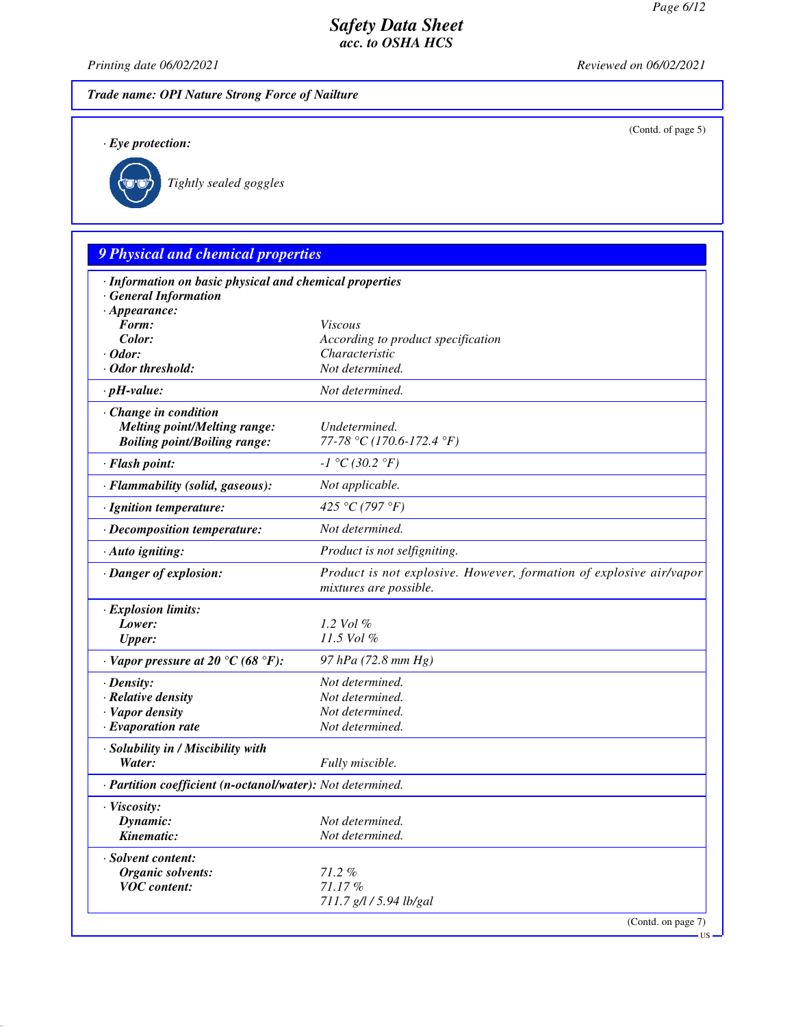(Contd. of page 5)

## *Safety Data Sheet acc. to OSHA HCS*

*Printing date 06/02/2021 Reviewed on 06/02/2021*

*Trade name: OPI Nature Strong Force of Nailture*

*· Eye protection:*



*Tightly sealed goggles*

# *9 Physical and chemical properties · Information on basic physical and chemical properties · General Information · Appearance: Form: Viscous Color: According to product specification · Odor: Characteristic · Odor threshold: Not determined. · pH-value: Not determined. · Change in condition Melting point/Melting range: Undetermined. Boiling point/Boiling range: 77-78 °C (170.6-172.4 °F) · Flash point: -1 °C (30.2 °F) · Flammability (solid, gaseous): Not applicable. · Ignition temperature: 425 °C (797 °F) · Decomposition temperature: Not determined. · Auto igniting: Product is not selfigniting. · Danger of explosion: Product is not explosive. However, formation of explosive air/vapor mixtures are possible. · Explosion limits: Lower: 1.2 Vol % Upper: 11.5 Vol % · Vapor pressure at 20 °C (68 °F): 97 hPa (72.8 mm Hg) · Density: Not determined. · Relative density Not determined. · Vapor density Not determined. <i>·* Evaporation rate *· Solubility in / Miscibility with Water: Fully miscible. · Partition coefficient (n-octanol/water): Not determined. · Viscosity: Dynamic: Not determined. Kinematic: Not determined. · Solvent content: Organic solvents: 71.2 % VOC content: 71.17 % 711.7 g/l / 5.94 lb/gal*

(Contd. on page 7)

US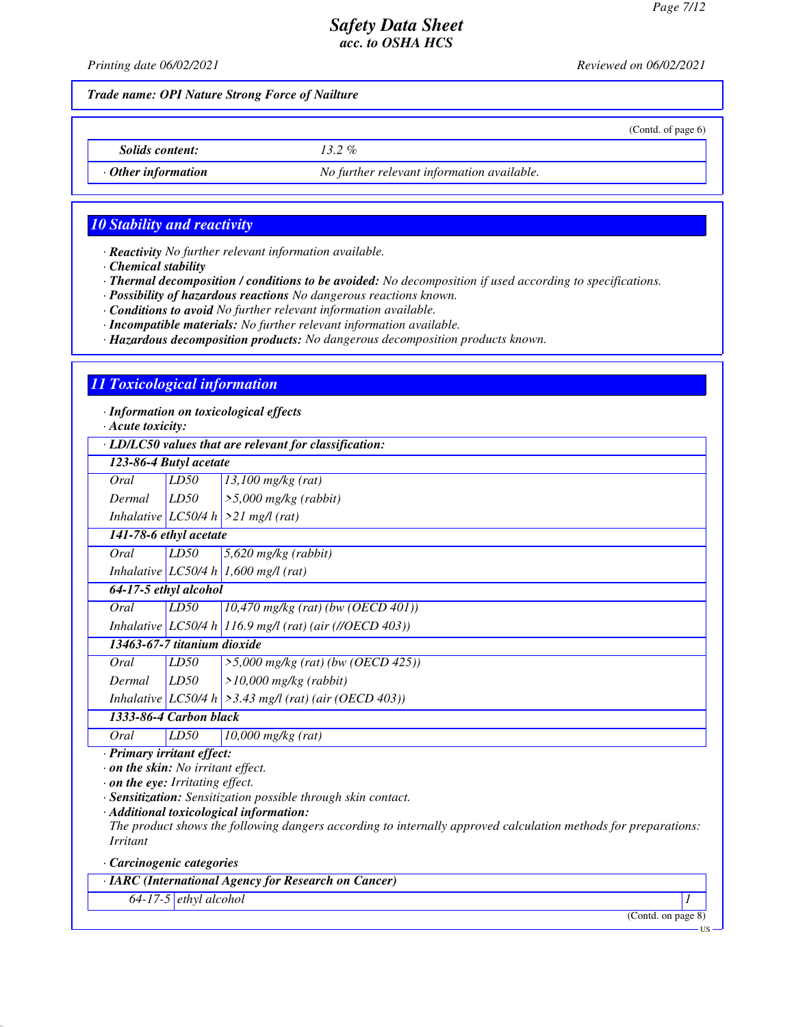(Contd. of page 6)

## *Safety Data Sheet acc. to OSHA HCS*

*Printing date 06/02/2021 Reviewed on 06/02/2021*

*Trade name: OPI Nature Strong Force of Nailture*

*Solids content: 13.2 %*

*· Other information No further relevant information available.*

## *10 Stability and reactivity*

*· Reactivity No further relevant information available.*

*· Chemical stability*

*· Thermal decomposition / conditions to be avoided: No decomposition if used according to specifications.*

*· Possibility of hazardous reactions No dangerous reactions known.*

*· Conditions to avoid No further relevant information available.*

*· Incompatible materials: No further relevant information available.*

*· Hazardous decomposition products: No dangerous decomposition products known.*

#### *11 Toxicological information*

*· Information on toxicological effects*

*· Acute toxicity:*

*· LD/LC50 values that are relevant for classification:*

| 123-86-4 Butyl acetate                                                                                           |      |                                                             |  |
|------------------------------------------------------------------------------------------------------------------|------|-------------------------------------------------------------|--|
| Oral                                                                                                             | LD50 | $13,100$ mg/kg (rat)                                        |  |
| Dermal                                                                                                           | LD50 | $>5,000$ mg/kg (rabbit)                                     |  |
|                                                                                                                  |      | Inhalative $ LC50/4 h  > 21$ mg/l (rat)                     |  |
| 141-78-6 ethyl acetate                                                                                           |      |                                                             |  |
| Oral                                                                                                             | LD50 | $5,620$ mg/kg (rabbit)                                      |  |
|                                                                                                                  |      | Inhalative LC50/4 h 1,600 mg/l (rat)                        |  |
| 64-17-5 ethyl alcohol                                                                                            |      |                                                             |  |
| Oral                                                                                                             | LD50 | $10,470$ mg/kg (rat) (bw (OECD 401))                        |  |
|                                                                                                                  |      | Inhalative   LC50/4 h   116.9 mg/l (rat) (air (//OECD 403)) |  |
| 13463-67-7 titanium dioxide                                                                                      |      |                                                             |  |
| Oral                                                                                                             | LD50 | $>5,000$ mg/kg (rat) (bw (OECD 425))                        |  |
| Dermal                                                                                                           | LD50 | $>10,000$ mg/kg (rabbit)                                    |  |
|                                                                                                                  |      | Inhalative $ LC50/4 h  > 3.43$ mg/l (rat) (air (OECD 403))  |  |
| 1333-86-4 Carbon black                                                                                           |      |                                                             |  |
| Oral                                                                                                             | LD50 | $10,000$ mg/kg (rat)                                        |  |
| · Primary irritant effect:<br>$\cdot$ on the skin: No irritant effect.<br>$\cdot$ on the eye: Irritating effect. |      |                                                             |  |
|                                                                                                                  |      |                                                             |  |

*· Sensitization: Sensitization possible through skin contact.*

*· Additional toxicological information:*

*The product shows the following dangers according to internally approved calculation methods for preparations: Irritant*

*· Carcinogenic categories*

*· IARC (International Agency for Research on Cancer)*

*64-17-5 ethyl alcohol 1* 

(Contd. on page 8)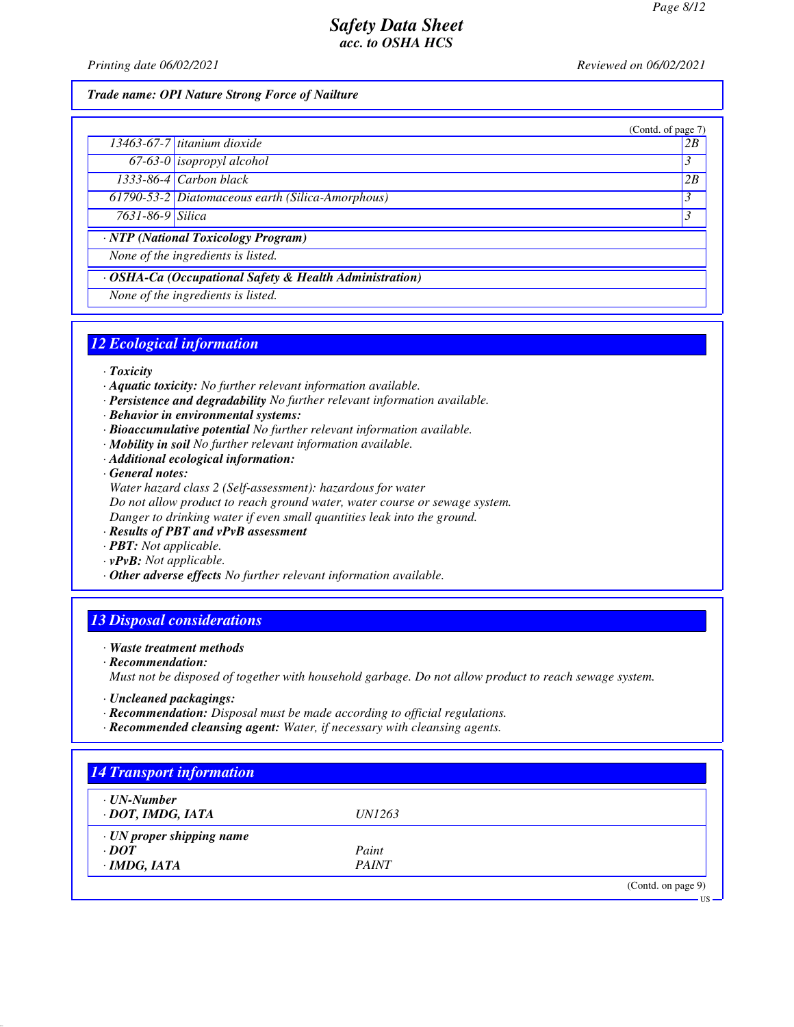(Contd. of page 7)

US

## *Safety Data Sheet acc. to OSHA HCS*

*Printing date 06/02/2021 Reviewed on 06/02/2021*

#### *Trade name: OPI Nature Strong Force of Nailture*

|                  | (Contd. of page)                                 |    |  |
|------------------|--------------------------------------------------|----|--|
|                  | $\overline{13463}$ -67-7 titanium dioxide        | 2B |  |
|                  | 67-63-0 isopropyl alcohol                        |    |  |
|                  | $\overline{1333 \cdot 86 \cdot 4}$ Carbon black  | 2B |  |
|                  | 61790-53-2 Diatomaceous earth (Silica-Amorphous) |    |  |
| 7631-86-9 Silica |                                                  |    |  |
| $\mathbf{M}$     |                                                  |    |  |

*· NTP (National Toxicology Program)*

*None of the ingredients is listed.*

## *· OSHA-Ca (Occupational Safety & Health Administration)*

*None of the ingredients is listed.*

#### *12 Ecological information*

#### *· Toxicity*

- *· Aquatic toxicity: No further relevant information available.*
- *· Persistence and degradability No further relevant information available.*
- *· Behavior in environmental systems:*
- *· Bioaccumulative potential No further relevant information available.*
- *· Mobility in soil No further relevant information available.*
- *· Additional ecological information:*

*· General notes:*

- *Water hazard class 2 (Self-assessment): hazardous for water Do not allow product to reach ground water, water course or sewage system. Danger to drinking water if even small quantities leak into the ground.*
- *· Results of PBT and vPvB assessment*
- *· PBT: Not applicable.*
- *· vPvB: Not applicable.*
- *· Other adverse effects No further relevant information available.*

## *13 Disposal considerations*

#### *· Waste treatment methods*

- *· Recommendation: Must not be disposed of together with household garbage. Do not allow product to reach sewage system.*
- *· Uncleaned packagings:*
- *· Recommendation: Disposal must be made according to official regulations.*
- *· Recommended cleansing agent: Water, if necessary with cleansing agents.*

| <b>14 Transport information</b> |               |                    |
|---------------------------------|---------------|--------------------|
| · UN-Number                     |               |                    |
| · DOT, IMDG, IATA               | <i>UN1263</i> |                    |
| $\cdot$ UN proper shipping name |               |                    |
| $\cdot$ DOT                     | Paint         |                    |
| $\cdot$ IMDG, IATA              | <b>PAINT</b>  |                    |
|                                 |               | (Contd. on page 9) |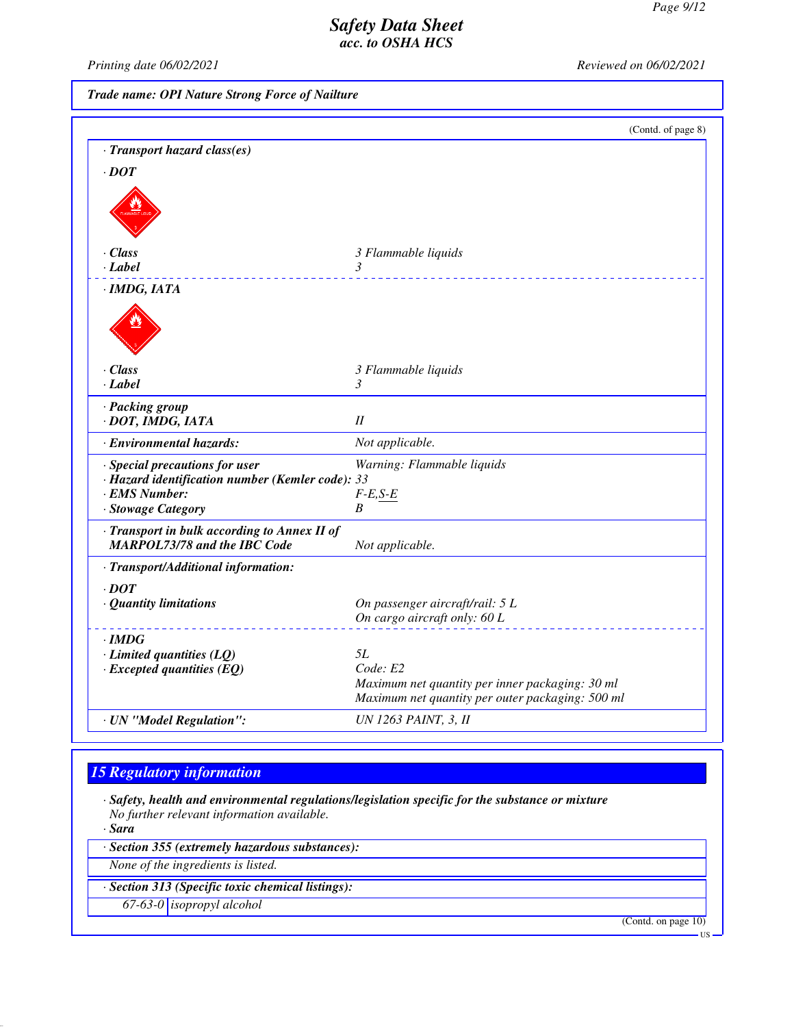*Printing date 06/02/2021 Reviewed on 06/02/2021*

*Trade name: OPI Nature Strong Force of Nailture*

|                                                                                                                           | (Contd. of page 8)                                                                                              |
|---------------------------------------------------------------------------------------------------------------------------|-----------------------------------------------------------------------------------------------------------------|
| · Transport hazard class(es)                                                                                              |                                                                                                                 |
| $\cdot$ DOT                                                                                                               |                                                                                                                 |
|                                                                                                                           |                                                                                                                 |
| $\cdot Class$                                                                                                             | 3 Flammable liquids                                                                                             |
| · Label                                                                                                                   | 3                                                                                                               |
| ·IMDG, IATA                                                                                                               |                                                                                                                 |
|                                                                                                                           |                                                                                                                 |
| $\cdot$ Class                                                                                                             | 3 Flammable liquids                                                                                             |
| · Label                                                                                                                   | 3                                                                                                               |
| · Packing group<br>· DOT, IMDG, IATA                                                                                      | I                                                                                                               |
| · Environmental hazards:                                                                                                  | Not applicable.                                                                                                 |
| · Special precautions for user<br>· Hazard identification number (Kemler code): 33<br>· EMS Number:<br>· Stowage Category | Warning: Flammable liquids<br>$F-E,S-E$<br>B                                                                    |
| · Transport in bulk according to Annex II of<br><b>MARPOL73/78 and the IBC Code</b>                                       | Not applicable.                                                                                                 |
| · Transport/Additional information:                                                                                       |                                                                                                                 |
| $\cdot$ DOT<br>· Quantity limitations                                                                                     | On passenger aircraft/rail: 5 L                                                                                 |
|                                                                                                                           | On cargo aircraft only: 60 L                                                                                    |
| $\cdot$ IMDG                                                                                                              |                                                                                                                 |
| $\cdot$ Limited quantities (LQ)                                                                                           | 5L                                                                                                              |
| $\cdot$ Excepted quantities (EQ)                                                                                          | Code: E2<br>Maximum net quantity per inner packaging: 30 ml<br>Maximum net quantity per outer packaging: 500 ml |
| · UN "Model Regulation":                                                                                                  | <b>UN 1263 PAINT, 3, II</b>                                                                                     |

# *15 Regulatory information*

*· Safety, health and environmental regulations/legislation specific for the substance or mixture No further relevant information available.*

*· Sara*

*· Section 355 (extremely hazardous substances):*

*None of the ingredients is listed.*

*· Section 313 (Specific toxic chemical listings):*

*67-63-0 isopropyl alcohol*

(Contd. on page 10)

US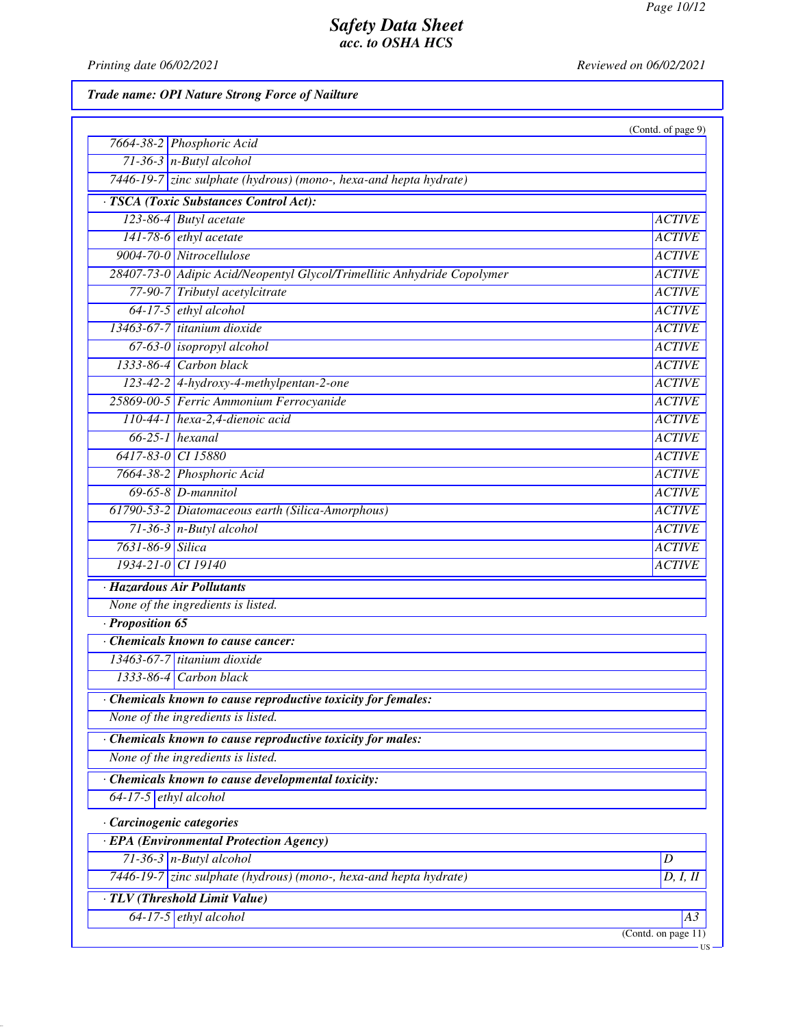*Printing date 06/02/2021 Reviewed on 06/02/2021*

*Trade name: OPI Nature Strong Force of Nailture*

|                                                                         | (Contd. of page 9)                             |
|-------------------------------------------------------------------------|------------------------------------------------|
| 7664-38-2 Phosphoric Acid                                               |                                                |
| $71-36-3$ n-Butyl alcohol                                               |                                                |
| 7446-19-7 zinc sulphate (hydrous) (mono-, hexa-and hepta hydrate)       |                                                |
| · TSCA (Toxic Substances Control Act):                                  |                                                |
| 123-86-4 Butyl acetate                                                  | <b>ACTIVE</b>                                  |
| $141-78-6$ ethyl acetate                                                | <b>ACTIVE</b>                                  |
| 9004-70-0 Nitrocellulose                                                | <b>ACTIVE</b>                                  |
| 28407-73-0 Adipic Acid/Neopentyl Glycol/Trimellitic Anhydride Copolymer | <b>ACTIVE</b>                                  |
| 77-90-7 Tributyl acetylcitrate                                          | <b>ACTIVE</b>                                  |
| $64-17-5$ ethyl alcohol                                                 | <b>ACTIVE</b>                                  |
| 13463-67-7 titanium dioxide                                             | <b>ACTIVE</b>                                  |
| 67-63-0 <i>isopropyl alcohol</i>                                        | <b>ACTIVE</b>                                  |
| $1333-86-4$ Carbon black                                                | <b>ACTIVE</b>                                  |
| 123-42-2 4-hydroxy-4-methylpentan-2-one                                 | <b>ACTIVE</b>                                  |
| 25869-00-5 Ferric Ammonium Ferrocyanide                                 | <b>ACTIVE</b>                                  |
| $110-44-1$ hexa-2,4-dienoic acid                                        | <b>ACTIVE</b>                                  |
| $66-25-1$ hexanal                                                       | <b>ACTIVE</b>                                  |
| 6417-83-0 CI 15880                                                      | <b>ACTIVE</b>                                  |
| 7664-38-2 Phosphoric Acid                                               | <b>ACTIVE</b>                                  |
| $69-65-8$ <i>D</i> -mannitol                                            | <b>ACTIVE</b>                                  |
| 61790-53-2 Diatomaceous earth (Silica-Amorphous)                        | <b>ACTIVE</b>                                  |
| $71-36-3$ n-Butyl alcohol                                               | <b>ACTIVE</b>                                  |
| 7631-86-9 Silica                                                        | <b>ACTIVE</b>                                  |
| 1934-21-0 CI 19140                                                      | <b>ACTIVE</b>                                  |
| · Hazardous Air Pollutants                                              |                                                |
| None of the ingredients is listed.                                      |                                                |
| Proposition 65                                                          |                                                |
| Chemicals known to cause cancer:                                        |                                                |
| 13463-67-7 titanium dioxide                                             |                                                |
| 1333-86-4 Carbon black                                                  |                                                |
| Chemicals known to cause reproductive toxicity for females:             |                                                |
| None of the ingredients is listed.                                      |                                                |
| Chemicals known to cause reproductive toxicity for males:               |                                                |
| None of the ingredients is listed.                                      |                                                |
| Chemicals known to cause developmental toxicity:                        |                                                |
| $64-17-5$ ethyl alcohol                                                 |                                                |
| · Carcinogenic categories                                               |                                                |
| · EPA (Environmental Protection Agency)                                 |                                                |
| $71-36-3$ n-Butyl alcohol                                               | $\boldsymbol{D}$                               |
| 7446-19-7 zinc sulphate (hydrous) (mono-, hexa-and hepta hydrate)       | D, I, II                                       |
| · TLV (Threshold Limit Value)                                           |                                                |
| 64-17-5 ethyl alcohol                                                   | A3                                             |
|                                                                         | $\overline{(\text{Contd. on page 11})}$<br>·US |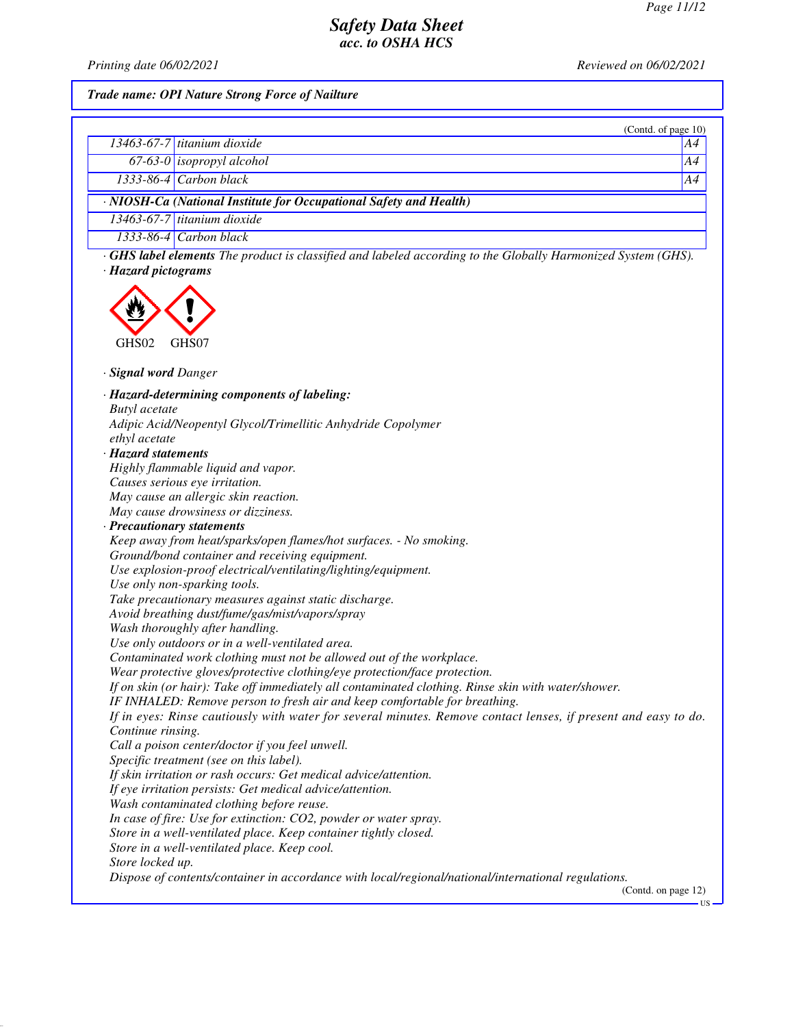*Printing date 06/02/2021 Reviewed on 06/02/2021*

#### *Trade name: OPI Nature Strong Force of Nailture*

|                                                                                                                     | (Contd. of page $10$ )        |    |  |
|---------------------------------------------------------------------------------------------------------------------|-------------------------------|----|--|
|                                                                                                                     | 13463-67-7 titanium dioxide   | AA |  |
|                                                                                                                     | $67-63-0$ isopropyl alcohol   | A4 |  |
|                                                                                                                     | $1333-86-4$ Carbon black      | A4 |  |
| · NIOSH-Ca (National Institute for Occupational Safety and Health)                                                  |                               |    |  |
|                                                                                                                     | $13463-67-7$ titanium dioxide |    |  |
|                                                                                                                     | $1333-86-4$ Carbon black      |    |  |
| $\cdot$ GHS label elements The product is classified and labeled according to the Globally Harmonized System (GHS). |                               |    |  |

*· Hazard pictograms*



*· Signal word Danger*

*· Hazard-determining components of labeling: Butyl acetate Adipic Acid/Neopentyl Glycol/Trimellitic Anhydride Copolymer ethyl acetate · Hazard statements Highly flammable liquid and vapor. Causes serious eye irritation. May cause an allergic skin reaction. May cause drowsiness or dizziness. · Precautionary statements Keep away from heat/sparks/open flames/hot surfaces. - No smoking. Ground/bond container and receiving equipment. Use explosion-proof electrical/ventilating/lighting/equipment. Use only non-sparking tools. Take precautionary measures against static discharge. Avoid breathing dust/fume/gas/mist/vapors/spray Wash thoroughly after handling. Use only outdoors or in a well-ventilated area. Contaminated work clothing must not be allowed out of the workplace. Wear protective gloves/protective clothing/eye protection/face protection. If on skin (or hair): Take off immediately all contaminated clothing. Rinse skin with water/shower. IF INHALED: Remove person to fresh air and keep comfortable for breathing. If in eyes: Rinse cautiously with water for several minutes. Remove contact lenses, if present and easy to do. Continue rinsing. Call a poison center/doctor if you feel unwell. Specific treatment (see on this label). If skin irritation or rash occurs: Get medical advice/attention. If eye irritation persists: Get medical advice/attention. Wash contaminated clothing before reuse. In case of fire: Use for extinction: CO2, powder or water spray. Store in a well-ventilated place. Keep container tightly closed. Store in a well-ventilated place. Keep cool. Store locked up. Dispose of contents/container in accordance with local/regional/national/international regulations.* (Contd. on page 12) US